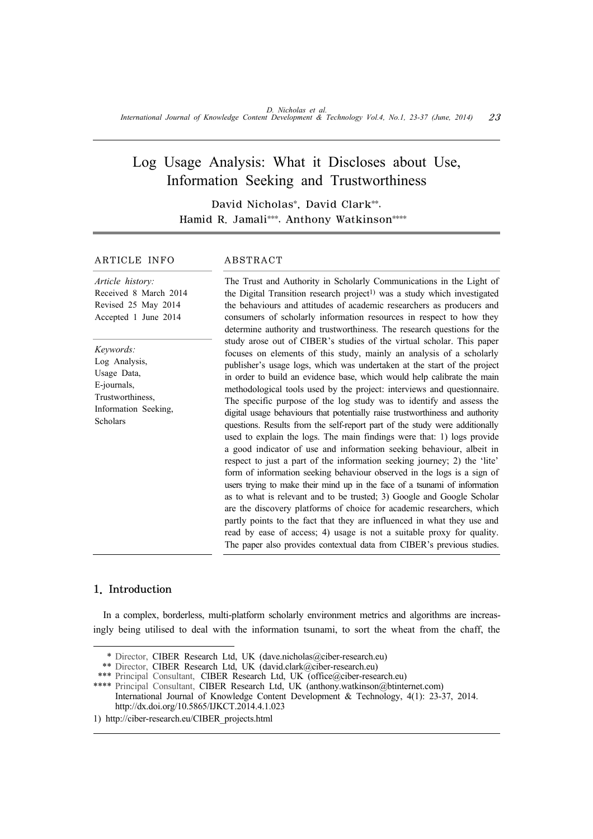# Log Usage Analysis: What it Discloses about Use, Information Seeking and Trustworthiness

David Nicholas\*, David Clark\*\*, Hamid R. Jamali\*\*\*, Anthony Watkinson\*\*\*\*

# ARTICLE INFO ABSTRACT

*Article history:* Received 8 March 2014 Revised 25 May 2014 Accepted 1 June 2014

*Keywords:* Log Analysis, Usage Data, E-journals, Trustworthiness, Information Seeking, Scholars

The Trust and Authority in Scholarly Communications in the Light of the Digital Transition research project<sup>1)</sup> was a study which investigated the behaviours and attitudes of academic researchers as producers and consumers of scholarly information resources in respect to how they determine authority and trustworthiness. The research questions for the study arose out of CIBER's studies of the virtual scholar. This paper focuses on elements of this study, mainly an analysis of a scholarly publisher's usage logs, which was undertaken at the start of the project in order to build an evidence base, which would help calibrate the main methodological tools used by the project: interviews and questionnaire. The specific purpose of the log study was to identify and assess the digital usage behaviours that potentially raise trustworthiness and authority questions. Results from the self-report part of the study were additionally used to explain the logs. The main findings were that: 1) logs provide a good indicator of use and information seeking behaviour, albeit in respect to just a part of the information seeking journey; 2) the 'lite' form of information seeking behaviour observed in the logs is a sign of users trying to make their mind up in the face of a tsunami of information as to what is relevant and to be trusted; 3) Google and Google Scholar are the discovery platforms of choice for academic researchers, which partly points to the fact that they are influenced in what they use and read by ease of access; 4) usage is not a suitable proxy for quality. The paper also provides contextual data from CIBER's previous studies.

# 1. Introduction

In a complex, borderless, multi-platform scholarly environment metrics and algorithms are increasingly being utilised to deal with the information tsunami, to sort the wheat from the chaff, the

 <sup>\*</sup> Director, CIBER Research Ltd, UK (dave.nicholas@ciber-research.eu)

 <sup>\*\*</sup> Director, CIBER Research Ltd, UK (david.clark@ciber-research.eu)

<sup>\*\*\*</sup> Principal Consultant, CIBER Research Ltd, UK (office@ciber-research.eu)

<sup>\*\*\*\*</sup> Principal Consultant, CIBER Research Ltd, UK (anthony.watkinson@btinternet.com) International Journal of Knowledge Content Development & Technology, 4(1): 23-37, 2014. http://dx.doi.org/10.5865/IJKCT.2014.4.1.023

<sup>1)</sup> http://ciber-research.eu/CIBER\_projects.html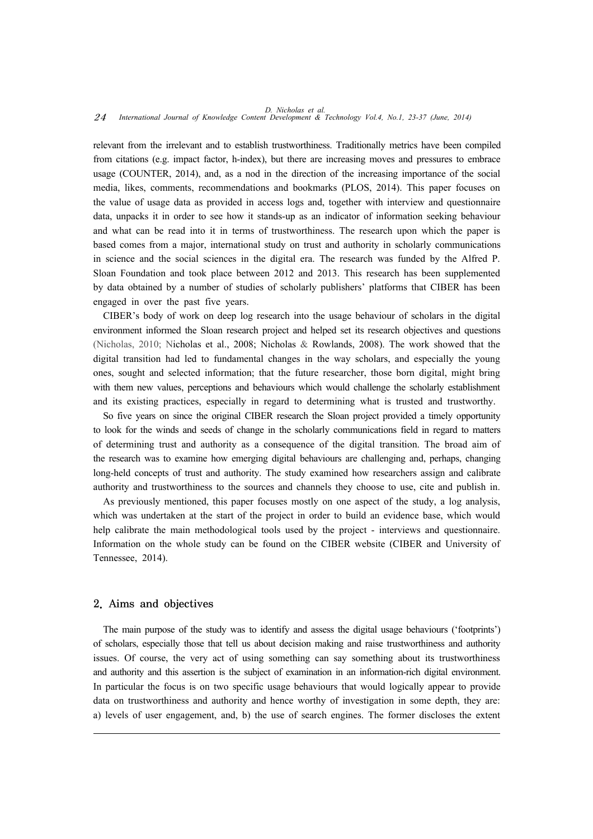relevant from the irrelevant and to establish trustworthiness. Traditionally metrics have been compiled from citations (e.g. impact factor, h-index), but there are increasing moves and pressures to embrace usage (COUNTER, 2014), and, as a nod in the direction of the increasing importance of the social media, likes, comments, recommendations and bookmarks (PLOS, 2014). This paper focuses on the value of usage data as provided in access logs and, together with interview and questionnaire data, unpacks it in order to see how it stands-up as an indicator of information seeking behaviour and what can be read into it in terms of trustworthiness. The research upon which the paper is based comes from a major, international study on trust and authority in scholarly communications in science and the social sciences in the digital era. The research was funded by the Alfred P. Sloan Foundation and took place between 2012 and 2013. This research has been supplemented by data obtained by a number of studies of scholarly publishers' platforms that CIBER has been engaged in over the past five years.

CIBER's body of work on deep log research into the usage behaviour of scholars in the digital environment informed the Sloan research project and helped set its research objectives and questions (Nicholas, 2010; Nicholas et al., 2008; Nicholas & Rowlands, 2008). The work showed that the digital transition had led to fundamental changes in the way scholars, and especially the young ones, sought and selected information; that the future researcher, those born digital, might bring with them new values, perceptions and behaviours which would challenge the scholarly establishment and its existing practices, especially in regard to determining what is trusted and trustworthy.

So five years on since the original CIBER research the Sloan project provided a timely opportunity to look for the winds and seeds of change in the scholarly communications field in regard to matters of determining trust and authority as a consequence of the digital transition. The broad aim of the research was to examine how emerging digital behaviours are challenging and, perhaps, changing long-held concepts of trust and authority. The study examined how researchers assign and calibrate authority and trustworthiness to the sources and channels they choose to use, cite and publish in.

As previously mentioned, this paper focuses mostly on one aspect of the study, a log analysis, which was undertaken at the start of the project in order to build an evidence base, which would help calibrate the main methodological tools used by the project - interviews and questionnaire. Information on the whole study can be found on the CIBER website (CIBER and University of Tennessee, 2014).

# 2. Aims and objectives

The main purpose of the study was to identify and assess the digital usage behaviours ('footprints') of scholars, especially those that tell us about decision making and raise trustworthiness and authority issues. Of course, the very act of using something can say something about its trustworthiness and authority and this assertion is the subject of examination in an information-rich digital environment. In particular the focus is on two specific usage behaviours that would logically appear to provide data on trustworthiness and authority and hence worthy of investigation in some depth, they are: a) levels of user engagement, and, b) the use of search engines. The former discloses the extent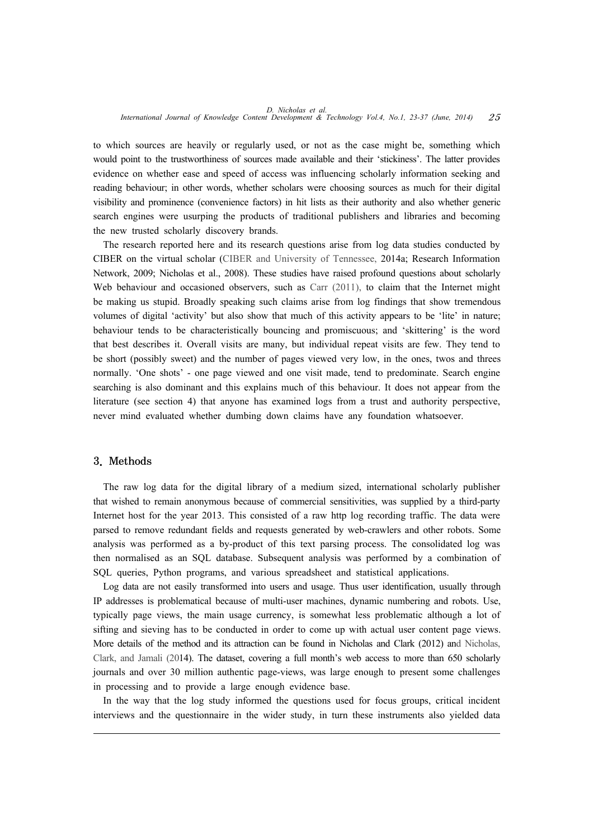to which sources are heavily or regularly used, or not as the case might be, something which would point to the trustworthiness of sources made available and their 'stickiness'. The latter provides evidence on whether ease and speed of access was influencing scholarly information seeking and reading behaviour; in other words, whether scholars were choosing sources as much for their digital visibility and prominence (convenience factors) in hit lists as their authority and also whether generic search engines were usurping the products of traditional publishers and libraries and becoming the new trusted scholarly discovery brands.

The research reported here and its research questions arise from log data studies conducted by CIBER on the virtual scholar (CIBER and University of Tennessee, 2014a; Research Information Network, 2009; Nicholas et al., 2008). These studies have raised profound questions about scholarly Web behaviour and occasioned observers, such as Carr (2011), to claim that the Internet might be making us stupid. Broadly speaking such claims arise from log findings that show tremendous volumes of digital 'activity' but also show that much of this activity appears to be 'lite' in nature; behaviour tends to be characteristically bouncing and promiscuous; and 'skittering' is the word that best describes it. Overall visits are many, but individual repeat visits are few. They tend to be short (possibly sweet) and the number of pages viewed very low, in the ones, twos and threes normally. 'One shots' - one page viewed and one visit made, tend to predominate. Search engine searching is also dominant and this explains much of this behaviour. It does not appear from the literature (see section 4) that anyone has examined logs from a trust and authority perspective, never mind evaluated whether dumbing down claims have any foundation whatsoever.

# 3. Methods

The raw log data for the digital library of a medium sized, international scholarly publisher that wished to remain anonymous because of commercial sensitivities, was supplied by a third-party Internet host for the year 2013. This consisted of a raw http log recording traffic. The data were parsed to remove redundant fields and requests generated by web-crawlers and other robots. Some analysis was performed as a by-product of this text parsing process. The consolidated log was then normalised as an SQL database. Subsequent analysis was performed by a combination of SQL queries, Python programs, and various spreadsheet and statistical applications.

Log data are not easily transformed into users and usage. Thus user identification, usually through IP addresses is problematical because of multi-user machines, dynamic numbering and robots. Use, typically page views, the main usage currency, is somewhat less problematic although a lot of sifting and sieving has to be conducted in order to come up with actual user content page views. More details of the method and its attraction can be found in Nicholas and Clark (2012) and Nicholas, Clark, and Jamali (2014). The dataset, covering a full month's web access to more than 650 scholarly journals and over 30 million authentic page-views, was large enough to present some challenges in processing and to provide a large enough evidence base.

In the way that the log study informed the questions used for focus groups, critical incident interviews and the questionnaire in the wider study, in turn these instruments also yielded data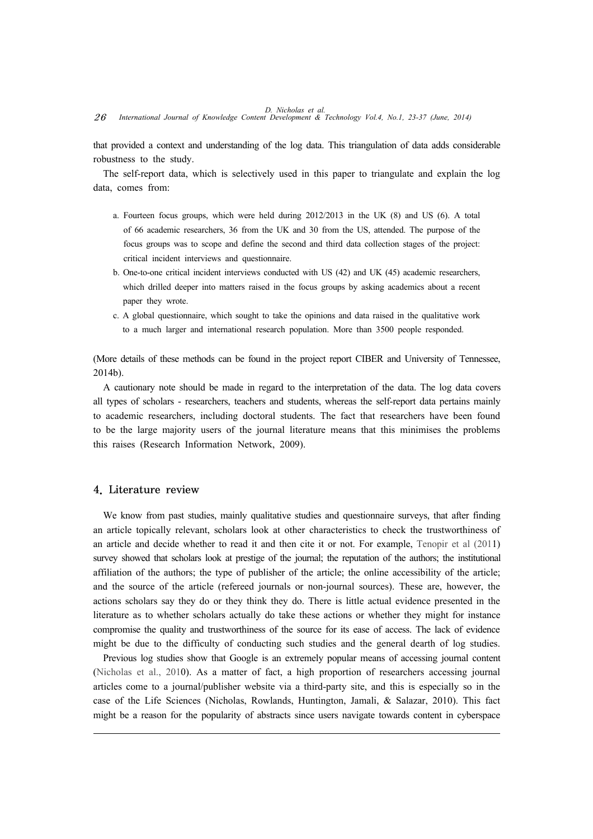that provided a context and understanding of the log data. This triangulation of data adds considerable robustness to the study.

The self-report data, which is selectively used in this paper to triangulate and explain the log data, comes from:

- a. Fourteen focus groups, which were held during 2012/2013 in the UK (8) and US (6). A total of 66 academic researchers, 36 from the UK and 30 from the US, attended. The purpose of the focus groups was to scope and define the second and third data collection stages of the project: critical incident interviews and questionnaire.
- b. One-to-one critical incident interviews conducted with US (42) and UK (45) academic researchers, which drilled deeper into matters raised in the focus groups by asking academics about a recent paper they wrote.
- c. A global questionnaire, which sought to take the opinions and data raised in the qualitative work to a much larger and international research population. More than 3500 people responded.

(More details of these methods can be found in the project report CIBER and University of Tennessee, 2014b).

A cautionary note should be made in regard to the interpretation of the data. The log data covers all types of scholars - researchers, teachers and students, whereas the self-report data pertains mainly to academic researchers, including doctoral students. The fact that researchers have been found to be the large majority users of the journal literature means that this minimises the problems this raises (Research Information Network, 2009).

## 4. Literature review

We know from past studies, mainly qualitative studies and questionnaire surveys, that after finding an article topically relevant, scholars look at other characteristics to check the trustworthiness of an article and decide whether to read it and then cite it or not. For example, Tenopir et al (2011) survey showed that scholars look at prestige of the journal; the reputation of the authors; the institutional affiliation of the authors; the type of publisher of the article; the online accessibility of the article; and the source of the article (refereed journals or non-journal sources). These are, however, the actions scholars say they do or they think they do. There is little actual evidence presented in the literature as to whether scholars actually do take these actions or whether they might for instance compromise the quality and trustworthiness of the source for its ease of access. The lack of evidence might be due to the difficulty of conducting such studies and the general dearth of log studies.

Previous log studies show that Google is an extremely popular means of accessing journal content (Nicholas et al., 2010). As a matter of fact, a high proportion of researchers accessing journal articles come to a journal/publisher website via a third-party site, and this is especially so in the case of the Life Sciences (Nicholas, Rowlands, Huntington, Jamali, & Salazar, 2010). This fact might be a reason for the popularity of abstracts since users navigate towards content in cyberspace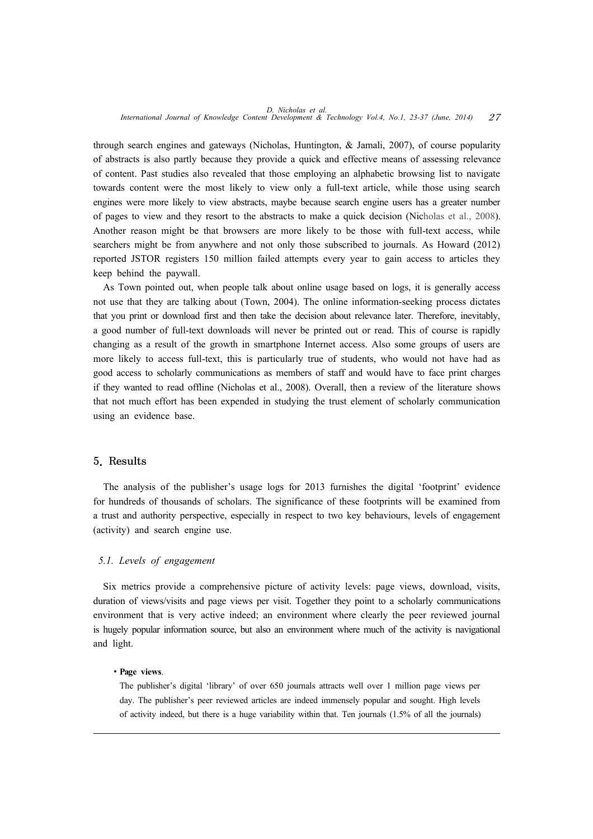through search engines and gateways (Nicholas, Huntington, & Jamali, 2007), of course popularity of abstracts is also partly because they provide a quick and effective means of assessing relevance of content. Past studies also revealed that those employing an alphabetic browsing list to navigate towards content were the most likely to view only a full-text article, while those using search engines were more likely to view abstracts, maybe because search engine users has a greater number of pages to view and they resort to the abstracts to make a quick decision (Nicholas et al., 2008). Another reason might be that browsers are more likely to be those with full-text access, while searchers might be from anywhere and not only those subscribed to journals. As Howard (2012) reported JSTOR registers 150 million failed attempts every year to gain access to articles they keep behind the paywall.

As Town pointed out, when people talk about online usage based on logs, it is generally access not use that they are talking about (Town, 2004). The online information-seeking process dictates that you print or download first and then take the decision about relevance later. Therefore, inevitably, a good number of full-text downloads will never be printed out or read. This of course is rapidly changing as a result of the growth in smartphone Internet access. Also some groups of users are more likely to access full-text, this is particularly true of students, who would not have had as good access to scholarly communications as members of staff and would have to face print charges if they wanted to read offline (Nicholas et al., 2008). Overall, then a review of the literature shows that not much effort has been expended in studying the trust element of scholarly communication using an evidence base.

# 5. Results

The analysis of the publisher's usage logs for 2013 furnishes the digital 'footprint' evidence for hundreds of thousands of scholars. The significance of these footprints will be examined from a trust and authority perspective, especially in respect to two key behaviours, levels of engagement (activity) and search engine use.

# *5.1. Levels of engagement*

Six metrics provide a comprehensive picture of activity levels: page views, download, visits, duration of views/visits and page views per visit. Together they point to a scholarly communications environment that is very active indeed; an environment where clearly the peer reviewed journal is hugely popular information source, but also an environment where much of the activity is navigational and light.

# ∙ **Page views**.

The publisher's digital 'library' of over 650 journals attracts well over 1 million page views per day. The publisher's peer reviewed articles are indeed immensely popular and sought. High levels of activity indeed, but there is a huge variability within that. Ten journals (1.5% of all the journals)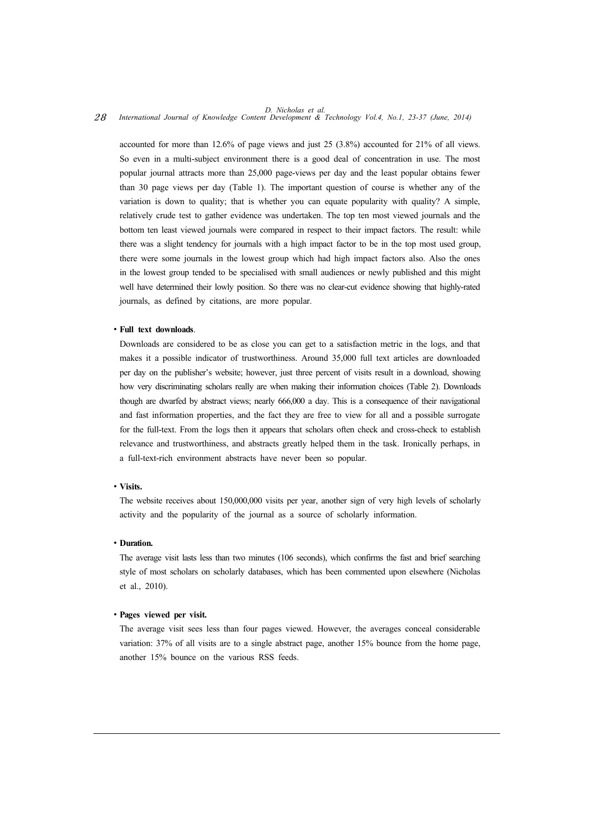# *D. Nicholas et al.* 28 *International Journal of Knowledge Content Development & Technology Vol.4, No.1, 23-37 (June, 2014)*

accounted for more than 12.6% of page views and just 25 (3.8%) accounted for 21% of all views. So even in a multi-subject environment there is a good deal of concentration in use. The most popular journal attracts more than 25,000 page-views per day and the least popular obtains fewer than 30 page views per day (Table 1). The important question of course is whether any of the variation is down to quality; that is whether you can equate popularity with quality? A simple, relatively crude test to gather evidence was undertaken. The top ten most viewed journals and the bottom ten least viewed journals were compared in respect to their impact factors. The result: while there was a slight tendency for journals with a high impact factor to be in the top most used group, there were some journals in the lowest group which had high impact factors also. Also the ones in the lowest group tended to be specialised with small audiences or newly published and this might well have determined their lowly position. So there was no clear-cut evidence showing that highly-rated journals, as defined by citations, are more popular.

#### ∙ **Full text downloads**.

Downloads are considered to be as close you can get to a satisfaction metric in the logs, and that makes it a possible indicator of trustworthiness. Around 35,000 full text articles are downloaded per day on the publisher's website; however, just three percent of visits result in a download, showing how very discriminating scholars really are when making their information choices (Table 2). Downloads though are dwarfed by abstract views; nearly 666,000 a day. This is a consequence of their navigational and fast information properties, and the fact they are free to view for all and a possible surrogate for the full-text. From the logs then it appears that scholars often check and cross-check to establish relevance and trustworthiness, and abstracts greatly helped them in the task. Ironically perhaps, in a full-text-rich environment abstracts have never been so popular.

### ∙ **Visits.**

The website receives about 150,000,000 visits per year, another sign of very high levels of scholarly activity and the popularity of the journal as a source of scholarly information.

### ∙ **Duration.**

The average visit lasts less than two minutes (106 seconds), which confirms the fast and brief searching style of most scholars on scholarly databases, which has been commented upon elsewhere (Nicholas et al., 2010).

### ∙ **Pages viewed per visit.**

The average visit sees less than four pages viewed. However, the averages conceal considerable variation: 37% of all visits are to a single abstract page, another 15% bounce from the home page, another 15% bounce on the various RSS feeds.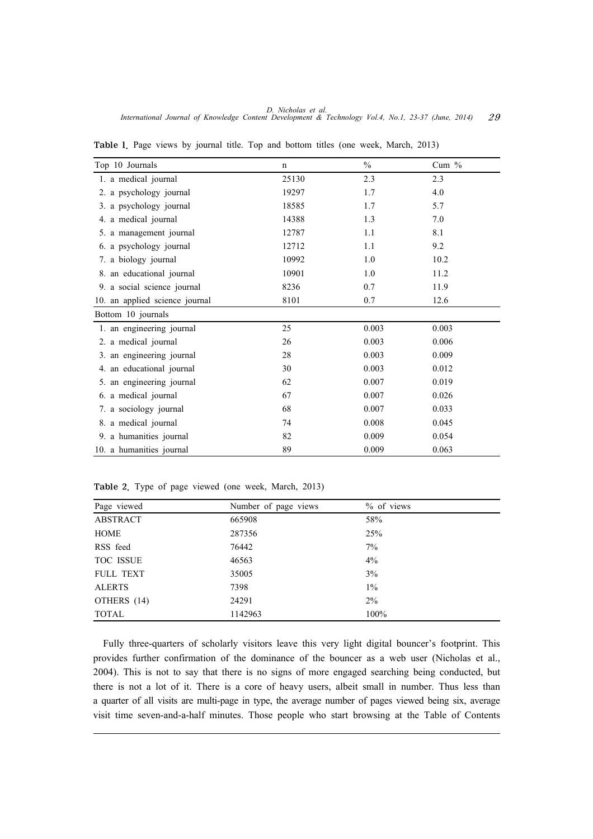| Top 10 Journals                | n     | $\frac{0}{0}$ | Cum $%$ |
|--------------------------------|-------|---------------|---------|
| 1. a medical journal           | 25130 | 2.3           | 2.3     |
| 2. a psychology journal        | 19297 | 1.7           | 4.0     |
| 3. a psychology journal        | 18585 | 1.7           | 5.7     |
| 4. a medical journal           | 14388 | 1.3           | 7.0     |
| 5. a management journal        | 12787 | 1.1           | 8.1     |
| 6. a psychology journal        | 12712 | 1.1           | 9.2     |
| 7. a biology journal           | 10992 | 1.0           | 10.2    |
| 8. an educational journal      | 10901 | 1.0           | 11.2    |
| 9. a social science journal    | 8236  | 0.7           | 11.9    |
| 10. an applied science journal | 8101  | 0.7           | 12.6    |
| Bottom 10 journals             |       |               |         |
| 1. an engineering journal      | 25    | 0.003         | 0.003   |
| 2. a medical journal           | 26    | 0.003         | 0.006   |
| 3. an engineering journal      | 28    | 0.003         | 0.009   |
| 4. an educational journal      | 30    | 0.003         | 0.012   |
| 5. an engineering journal      | 62    | 0.007         | 0.019   |
| 6. a medical journal           | 67    | 0.007         | 0.026   |
| 7. a sociology journal         | 68    | 0.007         | 0.033   |
| 8. a medical journal           | 74    | 0.008         | 0.045   |
| 9. a humanities journal        | 82    | 0.009         | 0.054   |
| 10. a humanities journal       | 89    | 0.009         | 0.063   |

Table 1. Page views by journal title. Top and bottom titles (one week, March, 2013)

Table 2. Type of page viewed (one week, March, 2013)

| Page viewed      | Number of page views | $%$ of views |  |
|------------------|----------------------|--------------|--|
| <b>ABSTRACT</b>  | 665908               | 58%          |  |
| HOME             | 287356               | 25%          |  |
| RSS feed         | 76442                | $7\%$        |  |
| TOC ISSUE        | 46563                | 4%           |  |
| <b>FULL TEXT</b> | 35005                | 3%           |  |
| <b>ALERTS</b>    | 7398                 | $1\%$        |  |
| OTHERS (14)      | 24291                | $2\%$        |  |
| TOTAL            | 1142963              | 100%         |  |

Fully three-quarters of scholarly visitors leave this very light digital bouncer's footprint. This provides further confirmation of the dominance of the bouncer as a web user (Nicholas et al., 2004). This is not to say that there is no signs of more engaged searching being conducted, but there is not a lot of it. There is a core of heavy users, albeit small in number. Thus less than a quarter of all visits are multi-page in type, the average number of pages viewed being six, average visit time seven-and-a-half minutes. Those people who start browsing at the Table of Contents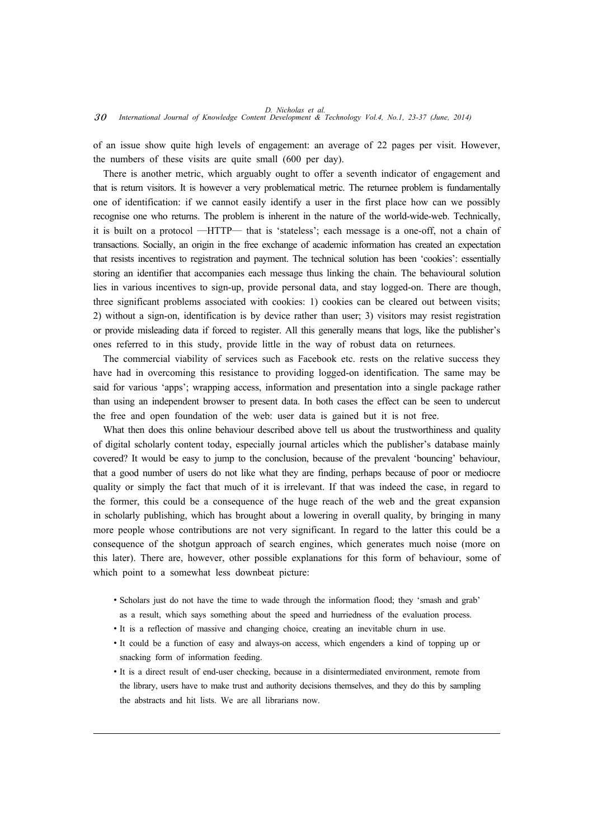of an issue show quite high levels of engagement: an average of 22 pages per visit. However, the numbers of these visits are quite small (600 per day).

There is another metric, which arguably ought to offer a seventh indicator of engagement and that is return visitors. It is however a very problematical metric. The returnee problem is fundamentally one of identification: if we cannot easily identify a user in the first place how can we possibly recognise one who returns. The problem is inherent in the nature of the world-wide-web. Technically, it is built on a protocol ―HTTP― that is 'stateless'; each message is a one-off, not a chain of transactions. Socially, an origin in the free exchange of academic information has created an expectation that resists incentives to registration and payment. The technical solution has been 'cookies': essentially storing an identifier that accompanies each message thus linking the chain. The behavioural solution lies in various incentives to sign-up, provide personal data, and stay logged-on. There are though, three significant problems associated with cookies: 1) cookies can be cleared out between visits; 2) without a sign-on, identification is by device rather than user; 3) visitors may resist registration or provide misleading data if forced to register. All this generally means that logs, like the publisher's ones referred to in this study, provide little in the way of robust data on returnees.

The commercial viability of services such as Facebook etc. rests on the relative success they have had in overcoming this resistance to providing logged-on identification. The same may be said for various 'apps'; wrapping access, information and presentation into a single package rather than using an independent browser to present data. In both cases the effect can be seen to undercut the free and open foundation of the web: user data is gained but it is not free.

What then does this online behaviour described above tell us about the trustworthiness and quality of digital scholarly content today, especially journal articles which the publisher's database mainly covered? It would be easy to jump to the conclusion, because of the prevalent 'bouncing' behaviour, that a good number of users do not like what they are finding, perhaps because of poor or mediocre quality or simply the fact that much of it is irrelevant. If that was indeed the case, in regard to the former, this could be a consequence of the huge reach of the web and the great expansion in scholarly publishing, which has brought about a lowering in overall quality, by bringing in many more people whose contributions are not very significant. In regard to the latter this could be a consequence of the shotgun approach of search engines, which generates much noise (more on this later). There are, however, other possible explanations for this form of behaviour, some of which point to a somewhat less downbeat picture:

- ∙ Scholars just do not have the time to wade through the information flood; they 'smash and grab'
- as a result, which says something about the speed and hurriedness of the evaluation process.
- ∙ It is a reflection of massive and changing choice, creating an inevitable churn in use.
- ∙ It could be a function of easy and always-on access, which engenders a kind of topping up or snacking form of information feeding.
- ∙ It is a direct result of end-user checking, because in a disintermediated environment, remote from the library, users have to make trust and authority decisions themselves, and they do this by sampling the abstracts and hit lists. We are all librarians now.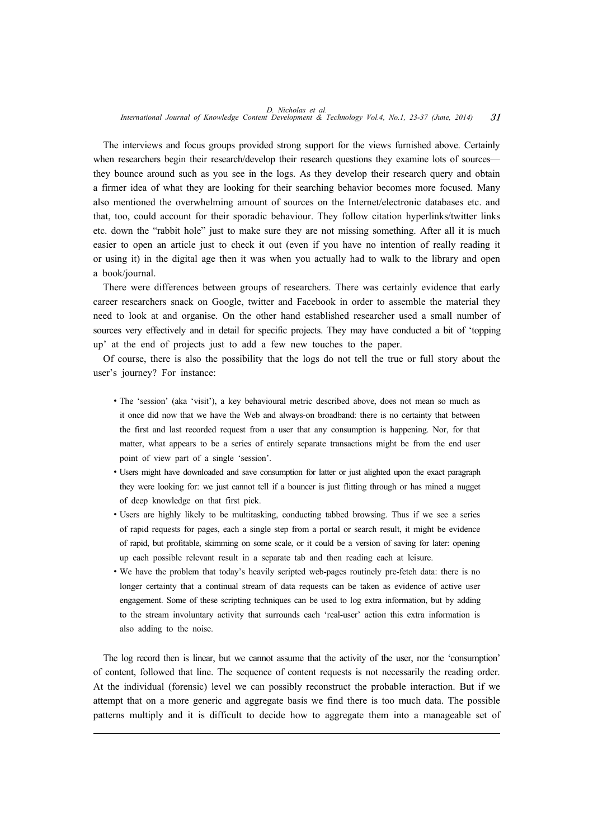The interviews and focus groups provided strong support for the views furnished above. Certainly when researchers begin their research/develop their research questions they examine lots of sources they bounce around such as you see in the logs. As they develop their research query and obtain a firmer idea of what they are looking for their searching behavior becomes more focused. Many also mentioned the overwhelming amount of sources on the Internet/electronic databases etc. and that, too, could account for their sporadic behaviour. They follow citation hyperlinks/twitter links etc. down the "rabbit hole" just to make sure they are not missing something. After all it is much easier to open an article just to check it out (even if you have no intention of really reading it or using it) in the digital age then it was when you actually had to walk to the library and open a book/journal.

There were differences between groups of researchers. There was certainly evidence that early career researchers snack on Google, twitter and Facebook in order to assemble the material they need to look at and organise. On the other hand established researcher used a small number of sources very effectively and in detail for specific projects. They may have conducted a bit of 'topping up' at the end of projects just to add a few new touches to the paper.

Of course, there is also the possibility that the logs do not tell the true or full story about the user's journey? For instance:

- ∙ The 'session' (aka 'visit'), a key behavioural metric described above, does not mean so much as it once did now that we have the Web and always-on broadband: there is no certainty that between the first and last recorded request from a user that any consumption is happening. Nor, for that matter, what appears to be a series of entirely separate transactions might be from the end user point of view part of a single 'session'.
- ∙ Users might have downloaded and save consumption for latter or just alighted upon the exact paragraph they were looking for: we just cannot tell if a bouncer is just flitting through or has mined a nugget of deep knowledge on that first pick.
- ∙ Users are highly likely to be multitasking, conducting tabbed browsing. Thus if we see a series of rapid requests for pages, each a single step from a portal or search result, it might be evidence of rapid, but profitable, skimming on some scale, or it could be a version of saving for later: opening up each possible relevant result in a separate tab and then reading each at leisure.
- We have the problem that today's heavily scripted web-pages routinely pre-fetch data: there is no longer certainty that a continual stream of data requests can be taken as evidence of active user engagement. Some of these scripting techniques can be used to log extra information, but by adding to the stream involuntary activity that surrounds each 'real-user' action this extra information is also adding to the noise.

The log record then is linear, but we cannot assume that the activity of the user, nor the 'consumption' of content, followed that line. The sequence of content requests is not necessarily the reading order. At the individual (forensic) level we can possibly reconstruct the probable interaction. But if we attempt that on a more generic and aggregate basis we find there is too much data. The possible patterns multiply and it is difficult to decide how to aggregate them into a manageable set of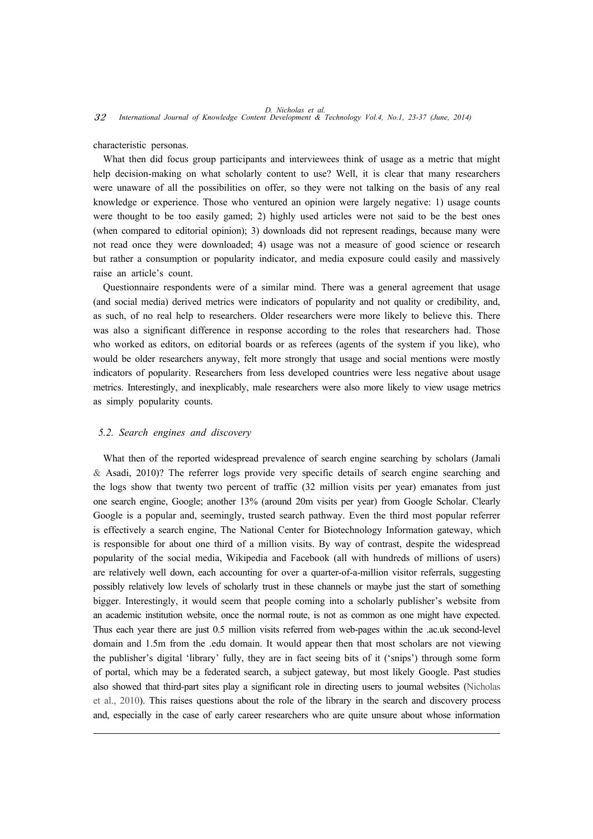characteristic personas.

What then did focus group participants and interviewees think of usage as a metric that might help decision-making on what scholarly content to use? Well, it is clear that many researchers were unaware of all the possibilities on offer, so they were not talking on the basis of any real knowledge or experience. Those who ventured an opinion were largely negative: 1) usage counts were thought to be too easily gamed; 2) highly used articles were not said to be the best ones (when compared to editorial opinion); 3) downloads did not represent readings, because many were not read once they were downloaded; 4) usage was not a measure of good science or research but rather a consumption or popularity indicator, and media exposure could easily and massively raise an article's count.

Questionnaire respondents were of a similar mind. There was a general agreement that usage (and social media) derived metrics were indicators of popularity and not quality or credibility, and, as such, of no real help to researchers. Older researchers were more likely to believe this. There was also a significant difference in response according to the roles that researchers had. Those who worked as editors, on editorial boards or as referees (agents of the system if you like), who would be older researchers anyway, felt more strongly that usage and social mentions were mostly indicators of popularity. Researchers from less developed countries were less negative about usage metrics. Interestingly, and inexplicably, male researchers were also more likely to view usage metrics as simply popularity counts.

### *5.2. Search engines and discovery*

What then of the reported widespread prevalence of search engine searching by scholars (Jamali & Asadi, 2010)? The referrer logs provide very specific details of search engine searching and the logs show that twenty two percent of traffic (32 million visits per year) emanates from just one search engine, Google; another 13% (around 20m visits per year) from Google Scholar. Clearly Google is a popular and, seemingly, trusted search pathway. Even the third most popular referrer is effectively a search engine, The National Center for Biotechnology Information gateway, which is responsible for about one third of a million visits. By way of contrast, despite the widespread popularity of the social media, Wikipedia and Facebook (all with hundreds of millions of users) are relatively well down, each accounting for over a quarter-of-a-million visitor referrals, suggesting possibly relatively low levels of scholarly trust in these channels or maybe just the start of something bigger. Interestingly, it would seem that people coming into a scholarly publisher's website from an academic institution website, once the normal route, is not as common as one might have expected. Thus each year there are just 0.5 million visits referred from web-pages within the .ac.uk second-level domain and 1.5m from the .edu domain. It would appear then that most scholars are not viewing the publisher's digital 'library' fully, they are in fact seeing bits of it ('snips') through some form of portal, which may be a federated search, a subject gateway, but most likely Google. Past studies also showed that third-part sites play a significant role in directing users to journal websites (Nicholas et al., 2010). This raises questions about the role of the library in the search and discovery process and, especially in the case of early career researchers who are quite unsure about whose information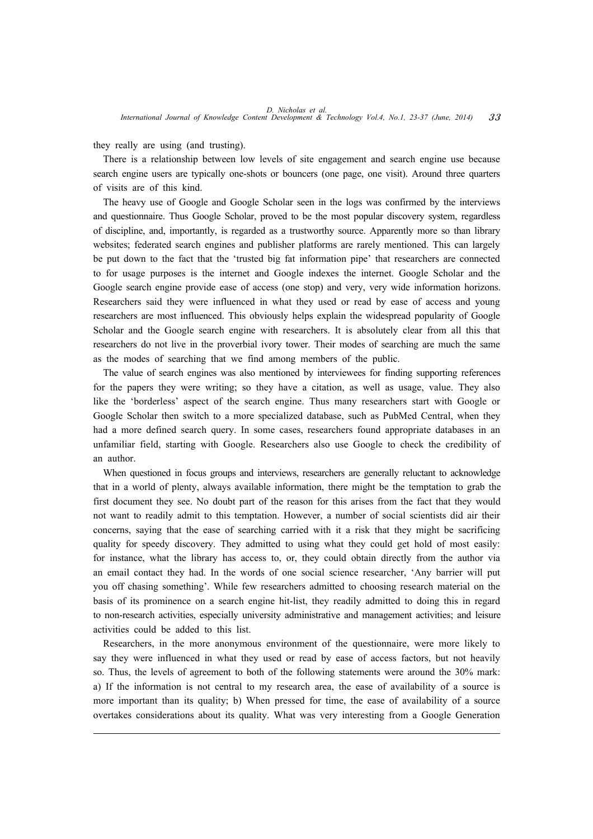they really are using (and trusting).

There is a relationship between low levels of site engagement and search engine use because search engine users are typically one-shots or bouncers (one page, one visit). Around three quarters of visits are of this kind.

The heavy use of Google and Google Scholar seen in the logs was confirmed by the interviews and questionnaire. Thus Google Scholar, proved to be the most popular discovery system, regardless of discipline, and, importantly, is regarded as a trustworthy source. Apparently more so than library websites; federated search engines and publisher platforms are rarely mentioned. This can largely be put down to the fact that the 'trusted big fat information pipe' that researchers are connected to for usage purposes is the internet and Google indexes the internet. Google Scholar and the Google search engine provide ease of access (one stop) and very, very wide information horizons. Researchers said they were influenced in what they used or read by ease of access and young researchers are most influenced. This obviously helps explain the widespread popularity of Google Scholar and the Google search engine with researchers. It is absolutely clear from all this that researchers do not live in the proverbial ivory tower. Their modes of searching are much the same as the modes of searching that we find among members of the public.

The value of search engines was also mentioned by interviewees for finding supporting references for the papers they were writing; so they have a citation, as well as usage, value. They also like the 'borderless' aspect of the search engine. Thus many researchers start with Google or Google Scholar then switch to a more specialized database, such as PubMed Central, when they had a more defined search query. In some cases, researchers found appropriate databases in an unfamiliar field, starting with Google. Researchers also use Google to check the credibility of an author.

When questioned in focus groups and interviews, researchers are generally reluctant to acknowledge that in a world of plenty, always available information, there might be the temptation to grab the first document they see. No doubt part of the reason for this arises from the fact that they would not want to readily admit to this temptation. However, a number of social scientists did air their concerns, saying that the ease of searching carried with it a risk that they might be sacrificing quality for speedy discovery. They admitted to using what they could get hold of most easily: for instance, what the library has access to, or, they could obtain directly from the author via an email contact they had. In the words of one social science researcher, 'Any barrier will put you off chasing something'. While few researchers admitted to choosing research material on the basis of its prominence on a search engine hit-list, they readily admitted to doing this in regard to non-research activities, especially university administrative and management activities; and leisure activities could be added to this list.

Researchers, in the more anonymous environment of the questionnaire, were more likely to say they were influenced in what they used or read by ease of access factors, but not heavily so. Thus, the levels of agreement to both of the following statements were around the 30% mark: a) If the information is not central to my research area, the ease of availability of a source is more important than its quality; b) When pressed for time, the ease of availability of a source overtakes considerations about its quality. What was very interesting from a Google Generation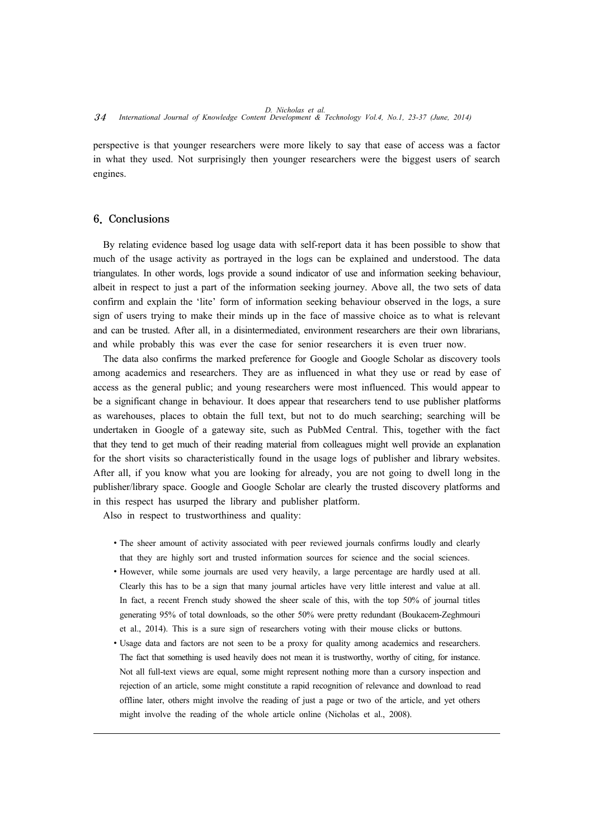perspective is that younger researchers were more likely to say that ease of access was a factor in what they used. Not surprisingly then younger researchers were the biggest users of search engines.

# 6. Conclusions

By relating evidence based log usage data with self-report data it has been possible to show that much of the usage activity as portrayed in the logs can be explained and understood. The data triangulates. In other words, logs provide a sound indicator of use and information seeking behaviour, albeit in respect to just a part of the information seeking journey. Above all, the two sets of data confirm and explain the 'lite' form of information seeking behaviour observed in the logs, a sure sign of users trying to make their minds up in the face of massive choice as to what is relevant and can be trusted. After all, in a disintermediated, environment researchers are their own librarians, and while probably this was ever the case for senior researchers it is even truer now.

The data also confirms the marked preference for Google and Google Scholar as discovery tools among academics and researchers. They are as influenced in what they use or read by ease of access as the general public; and young researchers were most influenced. This would appear to be a significant change in behaviour. It does appear that researchers tend to use publisher platforms as warehouses, places to obtain the full text, but not to do much searching; searching will be undertaken in Google of a gateway site, such as PubMed Central. This, together with the fact that they tend to get much of their reading material from colleagues might well provide an explanation for the short visits so characteristically found in the usage logs of publisher and library websites. After all, if you know what you are looking for already, you are not going to dwell long in the publisher/library space. Google and Google Scholar are clearly the trusted discovery platforms and in this respect has usurped the library and publisher platform.

Also in respect to trustworthiness and quality:

- The sheer amount of activity associated with peer reviewed journals confirms loudly and clearly that they are highly sort and trusted information sources for science and the social sciences.
- ∙ However, while some journals are used very heavily, a large percentage are hardly used at all. Clearly this has to be a sign that many journal articles have very little interest and value at all. In fact, a recent French study showed the sheer scale of this, with the top 50% of journal titles generating 95% of total downloads, so the other 50% were pretty redundant (Boukacem-Zeghmouri et al., 2014). This is a sure sign of researchers voting with their mouse clicks or buttons.
- ∙ Usage data and factors are not seen to be a proxy for quality among academics and researchers. The fact that something is used heavily does not mean it is trustworthy, worthy of citing, for instance. Not all full-text views are equal, some might represent nothing more than a cursory inspection and rejection of an article, some might constitute a rapid recognition of relevance and download to read offline later, others might involve the reading of just a page or two of the article, and yet others might involve the reading of the whole article online (Nicholas et al., 2008).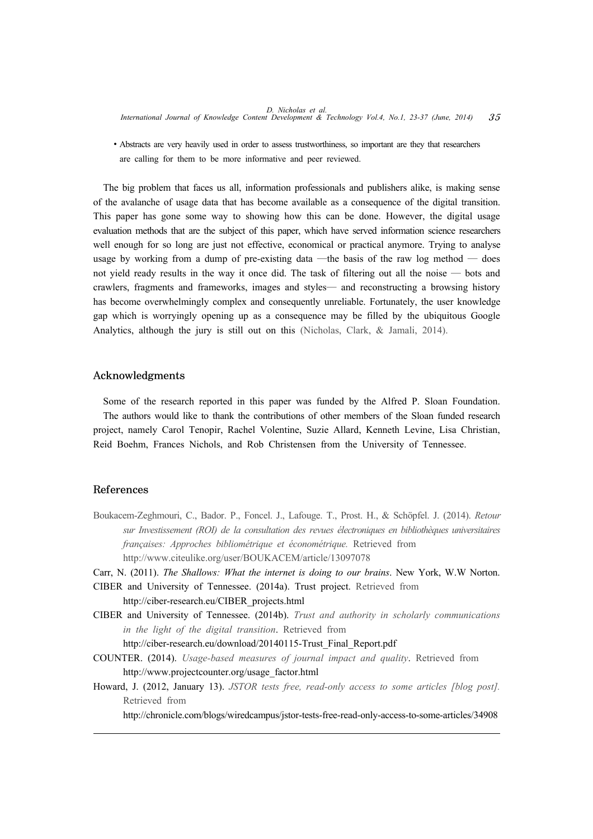• Abstracts are very heavily used in order to assess trustworthiness, so important are they that researchers are calling for them to be more informative and peer reviewed.

The big problem that faces us all, information professionals and publishers alike, is making sense of the avalanche of usage data that has become available as a consequence of the digital transition. This paper has gone some way to showing how this can be done. However, the digital usage evaluation methods that are the subject of this paper, which have served information science researchers well enough for so long are just not effective, economical or practical anymore. Trying to analyse usage by working from a dump of pre-existing data —the basis of the raw log method — does not yield ready results in the way it once did. The task of filtering out all the noise ― bots and crawlers, fragments and frameworks, images and styles― and reconstructing a browsing history has become overwhelmingly complex and consequently unreliable. Fortunately, the user knowledge gap which is worryingly opening up as a consequence may be filled by the ubiquitous Google Analytics, although the jury is still out on this (Nicholas, Clark, & Jamali, 2014).

# Acknowledgments

Some of the research reported in this paper was funded by the Alfred P. Sloan Foundation. The authors would like to thank the contributions of other members of the Sloan funded research project, namely Carol Tenopir, Rachel Volentine, Suzie Allard, Kenneth Levine, Lisa Christian, Reid Boehm, Frances Nichols, and Rob Christensen from the University of Tennessee.

# References

- Boukacem-Zeghmouri, C., Bador. P., Foncel. J., Lafouge. T., Prost. H., & Schöpfel. J. (2014). *Retour sur Investissement (ROI) de la consultation des revues électroniques en bibliothèques universitaires françaises: Approches bibliométrique et économétrique.* Retrieved from http://www.citeulike.org/user/BOUKACEM/article/13097078
- Carr, N. (2011). *The Shallows: What the internet is doing to our brains*. New York, W.W Norton.
- CIBER and University of Tennessee. (2014a). Trust project. Retrieved from http://ciber-research.eu/CIBER\_projects.html
- CIBER and University of Tennessee. (2014b). *Trust and authority in scholarly communications in the light of the digital transition*. Retrieved from
	- http://ciber-research.eu/download/20140115-Trust\_Final\_Report.pdf
- COUNTER. (2014). *Usage-based measures of journal impact and quality*. Retrieved from http://www.projectcounter.org/usage\_factor.html
- Howard, J. (2012, January 13). *JSTOR tests free, read-only access to some articles [blog post].* Retrieved from

http://chronicle.com/blogs/wiredcampus/jstor-tests-free-read-only-access-to-some-articles/34908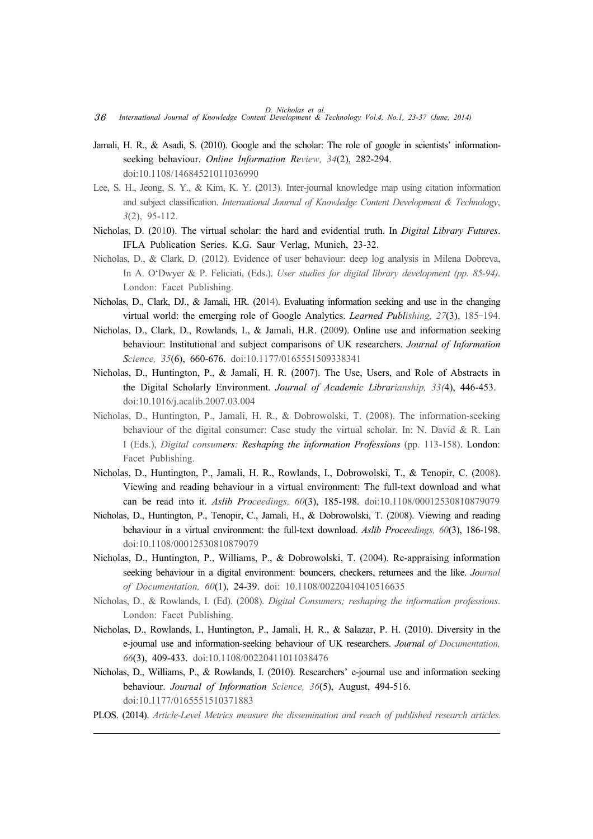- Jamali, H. R., & Asadi, S. (2010). Google and the scholar: The role of google in scientists' informationseeking behaviour. *Online Information Review, 34*(2), 282-294. doi:10.1108/14684521011036990
- Lee, S. H., Jeong, S. Y., & Kim, K. Y. (2013). Inter-journal knowledge map using citation information and subject classification. *International Journal of Knowledge Content Development & Technology*, *3*(2), 95-112.
- Nicholas, D. (2010). The virtual scholar: the hard and evidential truth. In *Digital Library Futures*. IFLA Publication Series. K.G. Saur Verlag, Munich, 23-32.
- Nicholas, D., & Clark, D. (2012). Evidence of user behaviour: deep log analysis in Milena Dobreva, In A. O'Dwyer & P. Feliciati, (Eds.). *User studies for digital library development (pp. 85-94)*. London: Facet Publishing.
- Nicholas, D., Clark, DJ., & Jamali, HR. (2014). Evaluating information seeking and use in the changing virtual world: the emerging role of Google Analytics. *Learned Publishing, 27*(3), 185–194.
- Nicholas, D., Clark, D., Rowlands, I., & Jamali, H.R. (2009). Online use and information seeking behaviour: Institutional and subject comparisons of UK researchers. *Journal of Information Science, 35*(6), 660-676. doi:10.1177/0165551509338341
- Nicholas, D., Huntington, P., & Jamali, H. R. (2007). The Use, Users, and Role of Abstracts in the Digital Scholarly Environment. *Journal of Academic Librarianship, 33(*4), 446-453. doi:10.1016/j.acalib.2007.03.004
- Nicholas, D., Huntington, P., Jamali, H. R., & Dobrowolski, T. (2008). The information-seeking behaviour of the digital consumer: Case study the virtual scholar. In: N. David & R. Lan I (Eds.), *Digital consumers: Reshaping the information Professions* (pp. 113-158). London: Facet Publishing.
- Nicholas, D., Huntington, P., Jamali, H. R., Rowlands, I., Dobrowolski, T., & Tenopir, C. (2008). Viewing and reading behaviour in a virtual environment: The full-text download and what can be read into it. *Aslib Proceedings, 60*(3), 185-198. doi:10.1108/00012530810879079
- Nicholas, D., Huntington, P., Tenopir, C., Jamali, H., & Dobrowolski, T. (2008). Viewing and reading behaviour in a virtual environment: the full-text download. *Aslib Proceedings, 60*(3), 186-198. doi:10.1108/00012530810879079
- Nicholas, D., Huntington, P., Williams, P., & Dobrowolski, T. (2004). Re-appraising information seeking behaviour in a digital environment: bouncers, checkers, returnees and the like. *Journal of Documentation, 60*(1), 24-39. doi: 10.1108/00220410410516635
- Nicholas, D., & Rowlands, I. (Ed). (2008). *Digital Consumers; reshaping the information professions*. London: Facet Publishing.
- Nicholas, D., Rowlands, I., Huntington, P., Jamali, H. R., & Salazar, P. H. (2010). Diversity in the e-journal use and information-seeking behaviour of UK researchers. *Journal of Documentation, 66*(3), 409-433. doi:10.1108/00220411011038476
- Nicholas, D., Williams, P., & Rowlands, I. (2010). Researchers' e-journal use and information seeking behaviour. *Journal of Information Science, 36*(5), August, 494-516. doi:10.1177/0165551510371883
- PLOS. (2014). *Article-Level Metrics measure the dissemination and reach of published research articles.*